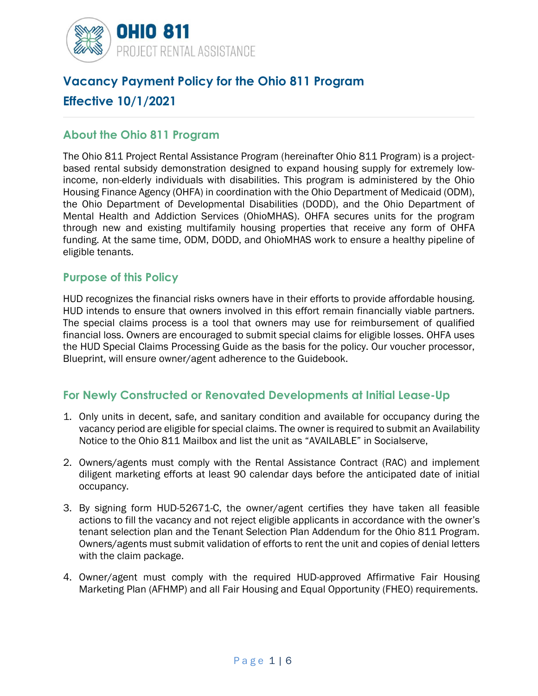

# **Vacancy Payment Policy for the Ohio 811 Program Effective 10/1/2021**

#### **About the Ohio 811 Program**

The Ohio 811 Project Rental Assistance Program (hereinafter Ohio 811 Program) is a projectbased rental subsidy demonstration designed to expand housing supply for extremely lowincome, non-elderly individuals with disabilities. This program is administered by the Ohio Housing Finance Agency (OHFA) in coordination with the Ohio Department of Medicaid (ODM), the Ohio Department of Developmental Disabilities (DODD), and the Ohio Department of Mental Health and Addiction Services (OhioMHAS). OHFA secures units for the program through new and existing multifamily housing properties that receive any form of OHFA funding. At the same time, ODM, DODD, and OhioMHAS work to ensure a healthy pipeline of eligible tenants.

#### **Purpose of this Policy**

HUD recognizes the financial risks owners have in their efforts to provide affordable housing. HUD intends to ensure that owners involved in this effort remain financially viable partners. The special claims process is a tool that owners may use for reimbursement of qualified financial loss. Owners are encouraged to submit special claims for eligible losses. OHFA uses the HUD Special Claims Processing Guide as the basis for the policy. Our voucher processor, Blueprint, will ensure owner/agent adherence to the Guidebook.

## **For Newly Constructed or Renovated Developments at Initial Lease-Up**

- 1. Only units in decent, safe, and sanitary condition and available for occupancy during the vacancy period are eligible for special claims. The owner is required to submit an Availability Notice to the Ohio 811 Mailbox and list the unit as "AVAILABLE" in Socialserve,
- 2. Owners/agents must comply with the Rental Assistance Contract (RAC) and implement diligent marketing efforts at least 90 calendar days before the anticipated date of initial occupancy.
- 3. By signing form HUD-52671-C, the owner/agent certifies they have taken all feasible actions to fill the vacancy and not reject eligible applicants in accordance with the owner's tenant selection plan and the Tenant Selection Plan Addendum for the Ohio 811 Program. Owners/agents must submit validation of efforts to rent the unit and copies of denial letters with the claim package.
- 4. Owner/agent must comply with the required HUD-approved Affirmative Fair Housing Marketing Plan (AFHMP) and all Fair Housing and Equal Opportunity (FHEO) requirements.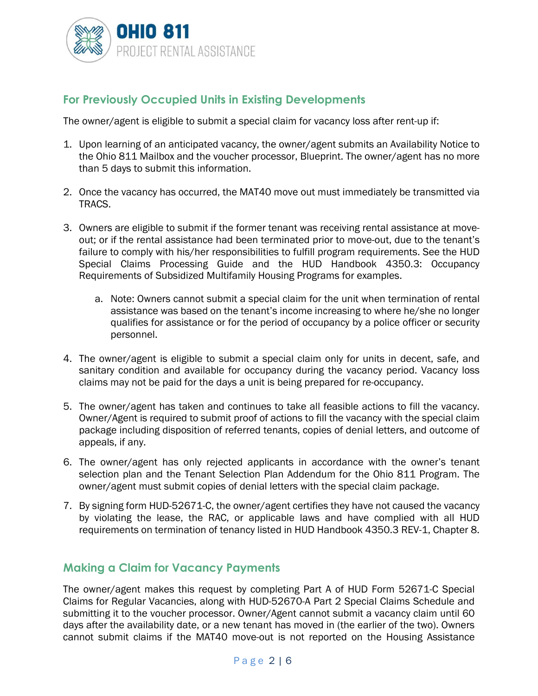

## **For Previously Occupied Units in Existing Developments**

The owner/agent is eligible to submit a special claim for vacancy loss after rent-up if:

- 1. Upon learning of an anticipated vacancy, the owner/agent submits an Availability Notice to the Ohio 811 Mailbox and the voucher processor, Blueprint. The owner/agent has no more than 5 days to submit this information.
- 2. Once the vacancy has occurred, the MAT40 move out must immediately be transmitted via TRACS.
- 3. Owners are eligible to submit if the former tenant was receiving rental assistance at moveout; or if the rental assistance had been terminated prior to move-out, due to the tenant's failure to comply with his/her responsibilities to fulfill program requirements. See the HUD Special Claims Processing Guide and the HUD Handbook 4350.3: Occupancy Requirements of Subsidized Multifamily Housing Programs for examples.
	- a. Note: Owners cannot submit a special claim for the unit when termination of rental assistance was based on the tenant's income increasing to where he/she no longer qualifies for assistance or for the period of occupancy by a police officer or security personnel.
- 4. The owner/agent is eligible to submit a special claim only for units in decent, safe, and sanitary condition and available for occupancy during the vacancy period. Vacancy loss claims may not be paid for the days a unit is being prepared for re-occupancy.
- 5. The owner/agent has taken and continues to take all feasible actions to fill the vacancy. Owner/Agent is required to submit proof of actions to fill the vacancy with the special claim package including disposition of referred tenants, copies of denial letters, and outcome of appeals, if any.
- 6. The owner/agent has only rejected applicants in accordance with the owner's tenant selection plan and the Tenant Selection Plan Addendum for the Ohio 811 Program. The owner/agent must submit copies of denial letters with the special claim package.
- 7. By signing form HUD-52671-C, the owner/agent certifies they have not caused the vacancy by violating the lease, the RAC, or applicable laws and have complied with all HUD requirements on termination of tenancy listed in HUD Handbook 4350.3 REV-1, Chapter 8.

#### **Making a Claim for Vacancy Payments**

The owner/agent makes this request by completing Part A of HUD Form 52671-C Special Claims for Regular Vacancies, along with HUD-52670-A Part 2 Special Claims Schedule and submitting it to the voucher processor. Owner/Agent cannot submit a vacancy claim until 60 days after the availability date, or a new tenant has moved in (the earlier of the two). Owners cannot submit claims if the MAT40 move-out is not reported on the Housing Assistance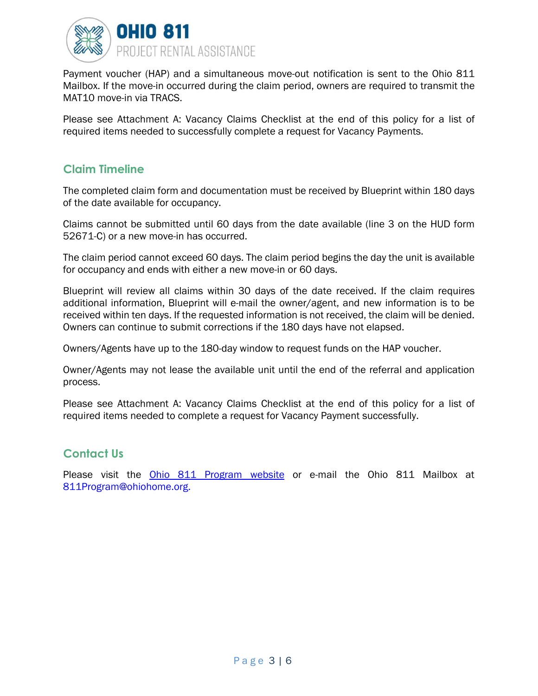

Payment voucher (HAP) and a simultaneous move-out notification is sent to the Ohio 811 Mailbox. If the move-in occurred during the claim period, owners are required to transmit the MAT10 move-in via TRACS.

Please see Attachment A: Vacancy Claims Checklist at the end of this policy for a list of required items needed to successfully complete a request for Vacancy Payments.

#### **Claim Timeline**

The completed claim form and documentation must be received by Blueprint within 180 days of the date available for occupancy.

Claims cannot be submitted until 60 days from the date available (line 3 on the HUD form 52671-C) or a new move-in has occurred.

The claim period cannot exceed 60 days. The claim period begins the day the unit is available for occupancy and ends with either a new move-in or 60 days.

Blueprint will review all claims within 30 days of the date received. If the claim requires additional information, Blueprint will e-mail the owner/agent, and new information is to be received within ten days. If the requested information is not received, the claim will be denied. Owners can continue to submit corrections if the 180 days have not elapsed.

Owners/Agents have up to the 180-day window to request funds on the HAP voucher.

Owner/Agents may not lease the available unit until the end of the referral and application process.

Please see Attachment A: Vacancy Claims Checklist at the end of this policy for a list of required items needed to complete a request for Vacancy Payment successfully.

## **Contact Us**

Please visit the Ohio 811 Program website or e-mail the Ohio 811 Mailbox at 811Program@ohiohome.org.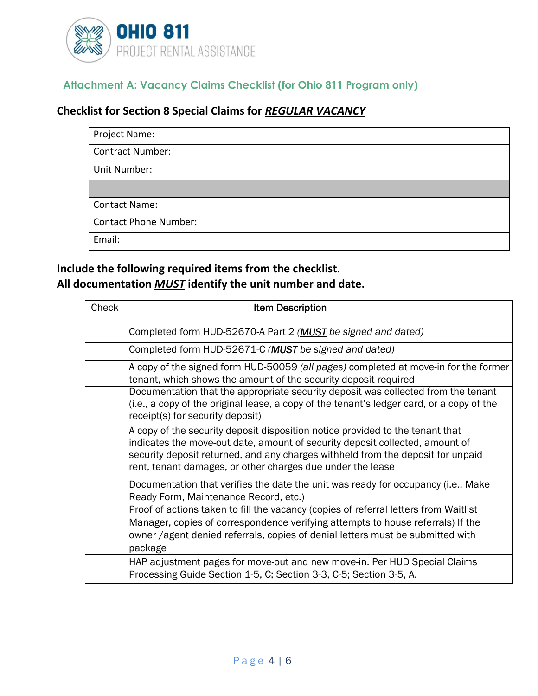

## **Attachment A: Vacancy Claims Checklist (for Ohio 811 Program only)**

## **Checklist for Section 8 Special Claims for** *REGULAR VACANCY*

| Project Name:           |  |
|-------------------------|--|
| <b>Contract Number:</b> |  |
| Unit Number:            |  |
|                         |  |
| <b>Contact Name:</b>    |  |
| Contact Phone Number:   |  |
| Email:                  |  |

## **Include the following required items from the checklist. All documentation** *MUST* **identify the unit number and date.**

| Check | <b>Item Description</b>                                                                                                                                                                                                                                                                                        |
|-------|----------------------------------------------------------------------------------------------------------------------------------------------------------------------------------------------------------------------------------------------------------------------------------------------------------------|
|       | Completed form HUD-52670-A Part 2 (MUST be signed and dated)                                                                                                                                                                                                                                                   |
|       | Completed form HUD-52671-C ( <b>MUST</b> be signed and dated)                                                                                                                                                                                                                                                  |
|       | A copy of the signed form HUD-50059 (all pages) completed at move-in for the former<br>tenant, which shows the amount of the security deposit required                                                                                                                                                         |
|       | Documentation that the appropriate security deposit was collected from the tenant<br>(i.e., a copy of the original lease, a copy of the tenant's ledger card, or a copy of the<br>receipt(s) for security deposit)                                                                                             |
|       | A copy of the security deposit disposition notice provided to the tenant that<br>indicates the move-out date, amount of security deposit collected, amount of<br>security deposit returned, and any charges withheld from the deposit for unpaid<br>rent, tenant damages, or other charges due under the lease |
|       | Documentation that verifies the date the unit was ready for occupancy (i.e., Make<br>Ready Form, Maintenance Record, etc.)                                                                                                                                                                                     |
|       | Proof of actions taken to fill the vacancy (copies of referral letters from Waitlist<br>Manager, copies of correspondence verifying attempts to house referrals) If the<br>owner / agent denied referrals, copies of denial letters must be submitted with<br>package                                          |
|       | HAP adjustment pages for move-out and new move-in. Per HUD Special Claims<br>Processing Guide Section 1-5, C; Section 3-3, C-5; Section 3-5, A.                                                                                                                                                                |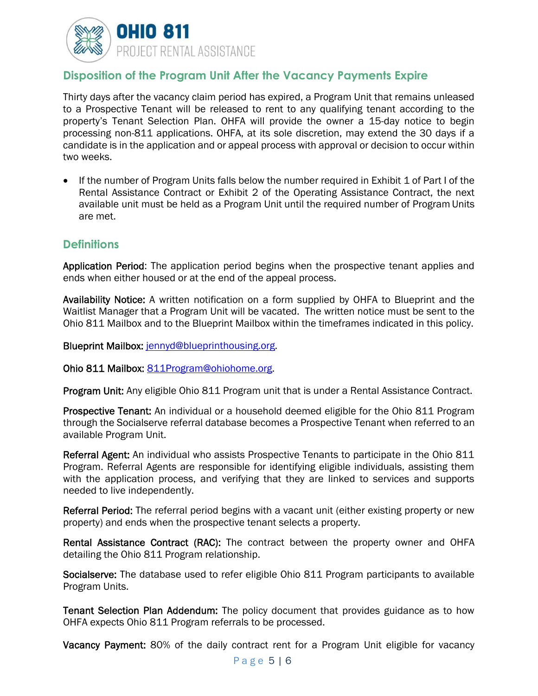

## **Disposition of the Program Unit After the Vacancy Payments Expire**

Thirty days after the vacancy claim period has expired, a Program Unit that remains unleased to a Prospective Tenant will be released to rent to any qualifying tenant according to the property's Tenant Selection Plan. OHFA will provide the owner a 15-day notice to begin processing non-811 applications. OHFA, at its sole discretion, may extend the 30 days if a candidate is in the application and or appeal process with approval or decision to occur within two weeks.

• If the number of Program Units falls below the number required in Exhibit 1 of Part I of the Rental Assistance Contract or Exhibit 2 of the Operating Assistance Contract, the next available unit must be held as a Program Unit until the required number of Program Units are met.

#### **Definitions**

Application Period: The application period begins when the prospective tenant applies and ends when either housed or at the end of the appeal process.

Availability Notice: A written notification on a form supplied by OHFA to Blueprint and the Waitlist Manager that a Program Unit will be vacated. The written notice must be sent to the Ohio 811 Mailbox and to the Blueprint Mailbox within the timeframes indicated in this policy.

Blueprint Mailbox: jennyd@blueprinthousing.org.

Ohio 811 Mailbox: 811Program@ohiohome.org.

Program Unit: Any eligible Ohio 811 Program unit that is under a Rental Assistance Contract.

Prospective Tenant: An individual or a household deemed eligible for the Ohio 811 Program through the Socialserve referral database becomes a Prospective Tenant when referred to an available Program Unit.

Referral Agent: An individual who assists Prospective Tenants to participate in the Ohio 811 Program. Referral Agents are responsible for identifying eligible individuals, assisting them with the application process, and verifying that they are linked to services and supports needed to live independently.

Referral Period: The referral period begins with a vacant unit (either existing property or new property) and ends when the prospective tenant selects a property.

Rental Assistance Contract (RAC): The contract between the property owner and OHFA detailing the Ohio 811 Program relationship.

Socialserve: The database used to refer eligible Ohio 811 Program participants to available Program Units.

Tenant Selection Plan Addendum: The policy document that provides guidance as to how OHFA expects Ohio 811 Program referrals to be processed.

Vacancy Payment: 80% of the daily contract rent for a Program Unit eligible for vacancy